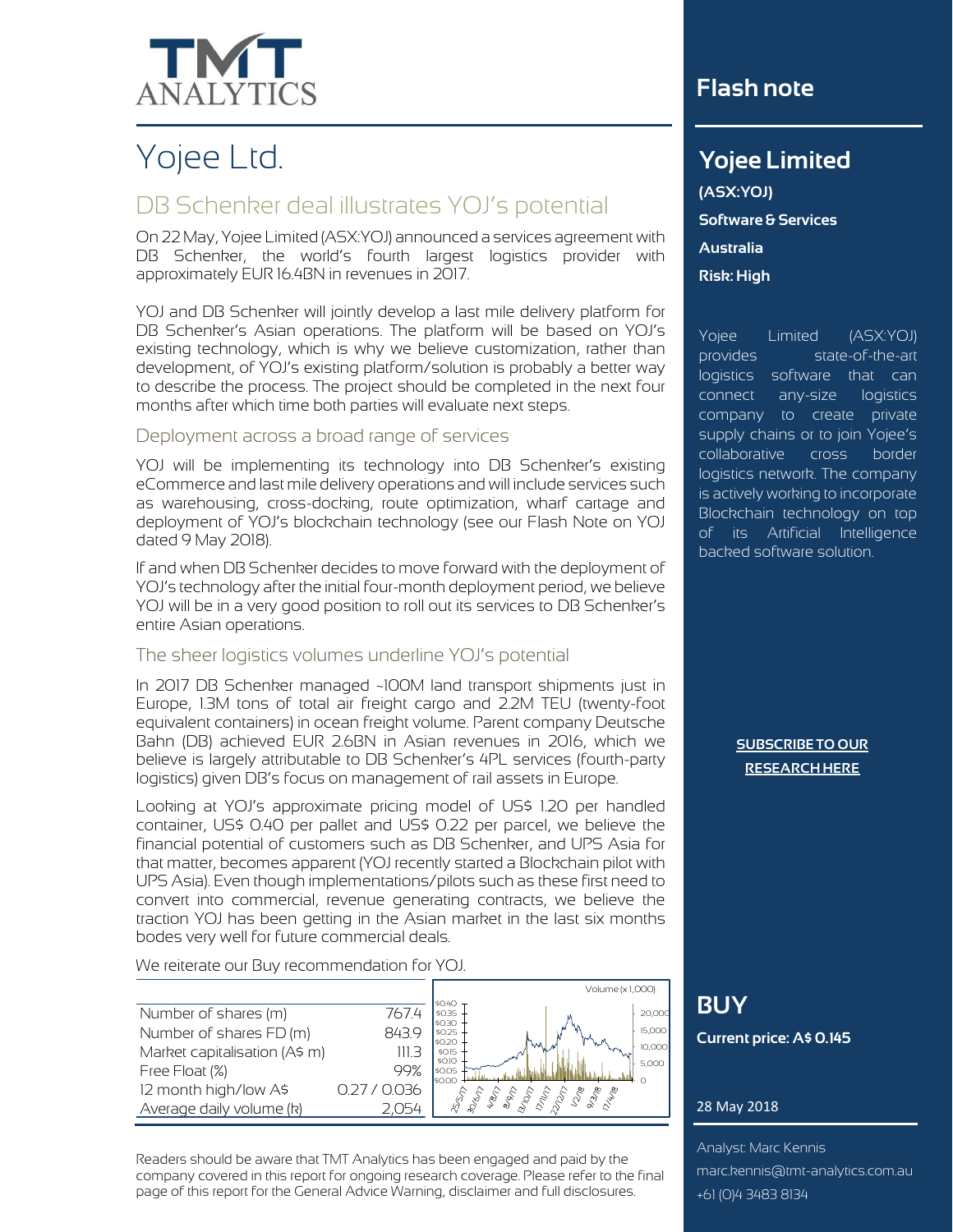

# Yojee Ltd.

# DB Schenker deal illustrates YOJ's potential

On 22 May, Yojee Limited (ASX:YOJ) announced a services agreement with DB Schenker, the world's fourth largest logistics provider with approximately EUR 16.4BN in revenues in 2017.

YOJ and DB Schenker will jointly develop a last mile delivery platform for DB Schenker's Asian operations. The platform will be based on YOJ's existing technology, which is why we believe customization, rather than development, of YOJ's existing platform/solution is probably a better way to describe the process. The project should be completed in the next four months after which time both parties will evaluate next steps.

### Deployment across a broad range of services

YOJ will be implementing its technology into DB Schenker's existing eCommerce and last mile delivery operations and will include services such as warehousing, cross-docking, route optimization, wharf cartage and deployment of YOJ's blockchain technology (see our Flash Note on YOJ dated 9 May 2018).

If and when DB Schenker decides to move forward with the deployment of YOJ's technology after the initial four-month deployment period, we believe YOJ will be in a very good position to roll out its services to DB Schenker's entire Asian operations.

## The sheer logistics volumes underline YOJ's potential

In 2017 DB Schenker managed ~100M land transport shipments just in Europe, 1.3M tons of total air freight cargo and 2.2M TEU (twenty-foot equivalent containers) in ocean freight volume. Parent company Deutsche Bahn (DB) achieved EUR 2.6BN in Asian revenues in 2016, which we believe is largely attributable to DB Schenker's 4PL services (fourth-party logistics) given DB's focus on management of rail assets in Europe.

Looking at YOJ's approximate pricing model of US\$ 1.20 per handled container, US\$ 0.40 per pallet and US\$ 0.22 per parcel, we believe the financial potential of customers such as DB Schenker, and UPS Asia for that matter, becomes apparent (YOJ recently started a Blockchain pilot with UPS Asia). Even though implementations/pilots such as these first need to convert into commercial, revenue generating contracts, we believe the traction YOJ has been getting in the Asian market in the last six months bodes very well for future commercial deals.

We reiterate our Buy recommendation for YOJ.

|                               |          | Volume (x 1,000)                             |
|-------------------------------|----------|----------------------------------------------|
| Number of shares (m)          | 7674     | \$0.40<br>\$0.35<br>20,000                   |
| Number of shares FD (m)       | 8439     | SO3C<br>15,000<br>\$0.25                     |
| Market capitalisation (A\$ m) | 111.3    | IsO2O<br>" WWW<br>10,000<br>\$0.15<br>\$0.10 |
| Free Float (%)                | 99%      | 5,000<br>\$0.05<br><b>I</b> sopo             |
| 12 month high/low A\$         | 027/0036 |                                              |
| Average daily volume (k)      |          |                                              |

Readers should be aware that TMT Analytics has been engaged and paid by the company covered in this report for ongoing research coverage. Please refer to the final page of this report for the General Advice Warning, disclaimer and full disclosures.

## **Flash note**

## **Yojee Limited**

 $\mathcal{L}_{\text{max}}$  is a semi-conductor of  $\mathcal{L}_{\text{max}}$ 

**(ASX:YOJ)** recommendation that any **Software & Services a**<br>**appropriate to your particular particular to your particular particular to your particular to your particular Risk: High** $s$  **and particular needs.** does not purport to make any investment objectives, financial control of the control of the control of the control of the control of the co

Yojee Limited (ASX:YOJ) provides state-of-the-art logistics software that can connect any-size logistics company to create private supply chains or to join Yojee's collaborative cross border logistics network. The company is actively working to incorporate Blockchain technology on top of its Artificial Intelligence backed software solution.

> **[SUBSCRIBE TO OUR](http://www.tmt-analytics.com.au/research) [RESEARCH HERE](http://www.tmt-analytics.com.au/research)**

# **BUY**

**Current price: A\$ 0.145**

## 28 May 2018

Analyst: Marc Kennis marc.kennis@tmt-analytics.com.au +61 (0)4 3483 8134